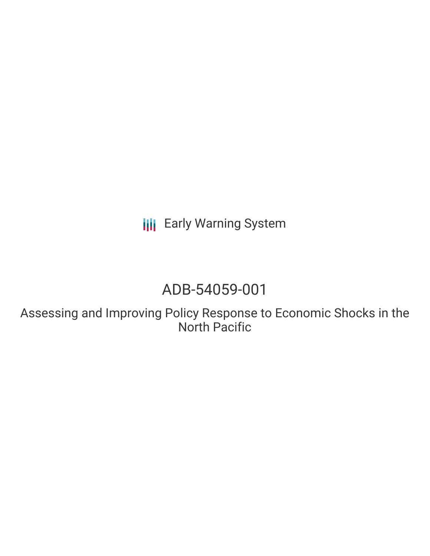**III** Early Warning System

# ADB-54059-001

Assessing and Improving Policy Response to Economic Shocks in the North Pacific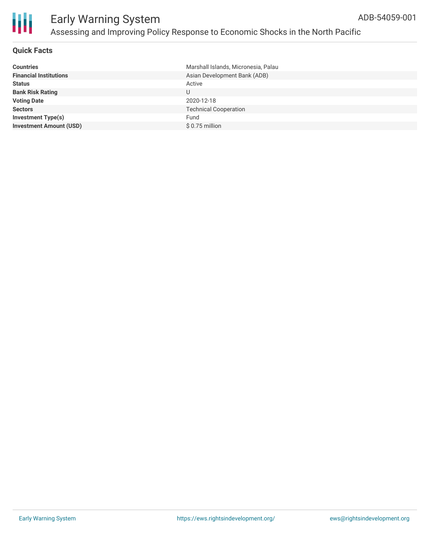

#### **Quick Facts**

| <b>Countries</b>               | Marshall Islands, Micronesia, Palau |
|--------------------------------|-------------------------------------|
| <b>Financial Institutions</b>  | Asian Development Bank (ADB)        |
| <b>Status</b>                  | Active                              |
| <b>Bank Risk Rating</b>        | U                                   |
| <b>Voting Date</b>             | 2020-12-18                          |
| <b>Sectors</b>                 | <b>Technical Cooperation</b>        |
| <b>Investment Type(s)</b>      | Fund                                |
| <b>Investment Amount (USD)</b> | $$0.75$ million                     |
|                                |                                     |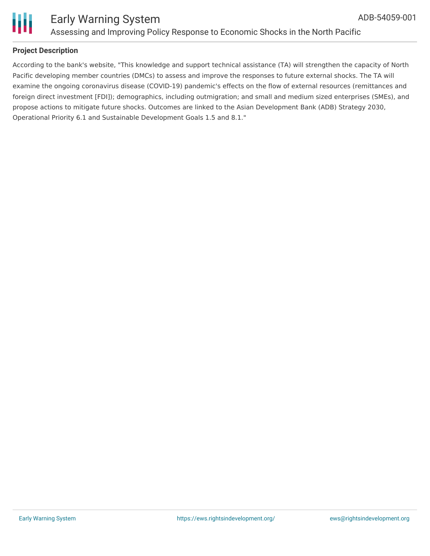

#### **Project Description**

According to the bank's website, "This knowledge and support technical assistance (TA) will strengthen the capacity of North Pacific developing member countries (DMCs) to assess and improve the responses to future external shocks. The TA will examine the ongoing coronavirus disease (COVID-19) pandemic's effects on the flow of external resources (remittances and foreign direct investment [FDI]); demographics, including outmigration; and small and medium sized enterprises (SMEs), and propose actions to mitigate future shocks. Outcomes are linked to the Asian Development Bank (ADB) Strategy 2030, Operational Priority 6.1 and Sustainable Development Goals 1.5 and 8.1."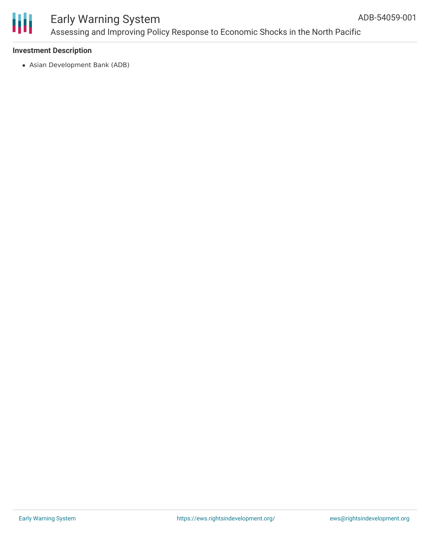

### Early Warning System Assessing and Improving Policy Response to Economic Shocks in the North Pacific

#### **Investment Description**

Asian Development Bank (ADB)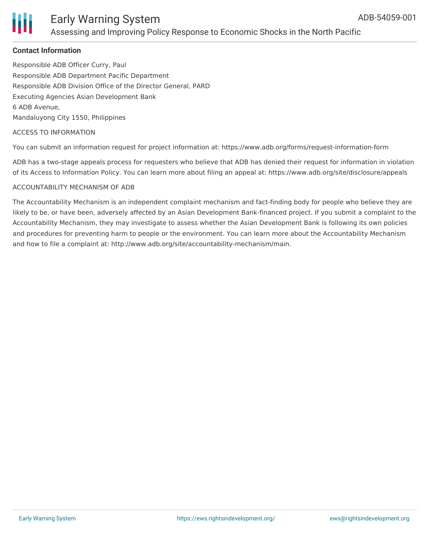

### Early Warning System Assessing and Improving Policy Response to Economic Shocks in the North Pacific

#### **Contact Information**

Responsible ADB Officer Curry, Paul Responsible ADB Department Pacific Department Responsible ADB Division Office of the Director General, PARD Executing Agencies Asian Development Bank 6 ADB Avenue, Mandaluyong City 1550, Philippines

#### ACCESS TO INFORMATION

You can submit an information request for project information at: https://www.adb.org/forms/request-information-form

ADB has a two-stage appeals process for requesters who believe that ADB has denied their request for information in violation of its Access to Information Policy. You can learn more about filing an appeal at: https://www.adb.org/site/disclosure/appeals

#### ACCOUNTABILITY MECHANISM OF ADB

The Accountability Mechanism is an independent complaint mechanism and fact-finding body for people who believe they are likely to be, or have been, adversely affected by an Asian Development Bank-financed project. If you submit a complaint to the Accountability Mechanism, they may investigate to assess whether the Asian Development Bank is following its own policies and procedures for preventing harm to people or the environment. You can learn more about the Accountability Mechanism and how to file a complaint at: http://www.adb.org/site/accountability-mechanism/main.